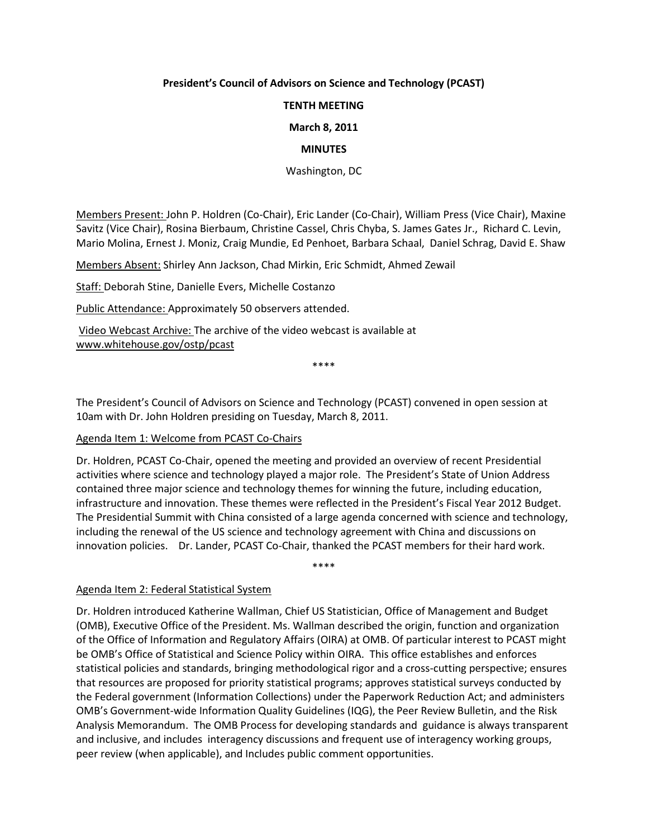## **President's Council of Advisors on Science and Technology (PCAST)**

#### **TENTH MEETING**

**March 8, 2011**

#### **MINUTES**

Washington, DC

Members Present: John P. Holdren (Co-Chair), Eric Lander (Co-Chair), William Press (Vice Chair), Maxine Savitz (Vice Chair), Rosina Bierbaum, Christine Cassel, Chris Chyba, S. James Gates Jr., Richard C. Levin, Mario Molina, Ernest J. Moniz, Craig Mundie, Ed Penhoet, Barbara Schaal, Daniel Schrag, David E. Shaw

Members Absent: Shirley Ann Jackson, Chad Mirkin, Eric Schmidt, Ahmed Zewail

Staff: Deborah Stine, Danielle Evers, Michelle Costanzo

Public Attendance: Approximately 50 observers attended.

Video Webcast Archive: The archive of the video webcast is available at [www.whitehouse.gov/ostp/pcast](http://www.whitehouse.gov/ostp/pcast)

\*\*\*\*

The President's Council of Advisors on Science and Technology (PCAST) convened in open session at 10am with Dr. John Holdren presiding on Tuesday, March 8, 2011.

## Agenda Item 1: Welcome from PCAST Co-Chairs

Dr. Holdren, PCAST Co-Chair, opened the meeting and provided an overview of recent Presidential activities where science and technology played a major role. The President's State of Union Address contained three major science and technology themes for winning the future, including education, infrastructure and innovation. These themes were reflected in the President's Fiscal Year 2012 Budget. The Presidential Summit with China consisted of a large agenda concerned with science and technology, including the renewal of the US science and technology agreement with China and discussions on innovation policies. Dr. Lander, PCAST Co-Chair, thanked the PCAST members for their hard work.

\*\*\*\*

## Agenda Item 2: Federal Statistical System

Dr. Holdren introduced Katherine Wallman, Chief US Statistician, Office of Management and Budget (OMB), Executive Office of the President. Ms. Wallman described the origin, function and organization of the Office of Information and Regulatory Affairs (OIRA) at OMB. Of particular interest to PCAST might be OMB's Office of Statistical and Science Policy within OIRA. This office establishes and enforces statistical policies and standards, bringing methodological rigor and a cross-cutting perspective; ensures that resources are proposed for priority statistical programs; approves statistical surveys conducted by the Federal government (Information Collections) under the Paperwork Reduction Act; and administers OMB's Government-wide Information Quality Guidelines (IQG), the Peer Review Bulletin, and the Risk Analysis Memorandum. The OMB Process for developing standards and guidance is always transparent and inclusive, and includes interagency discussions and frequent use of interagency working groups, peer review (when applicable), and Includes public comment opportunities.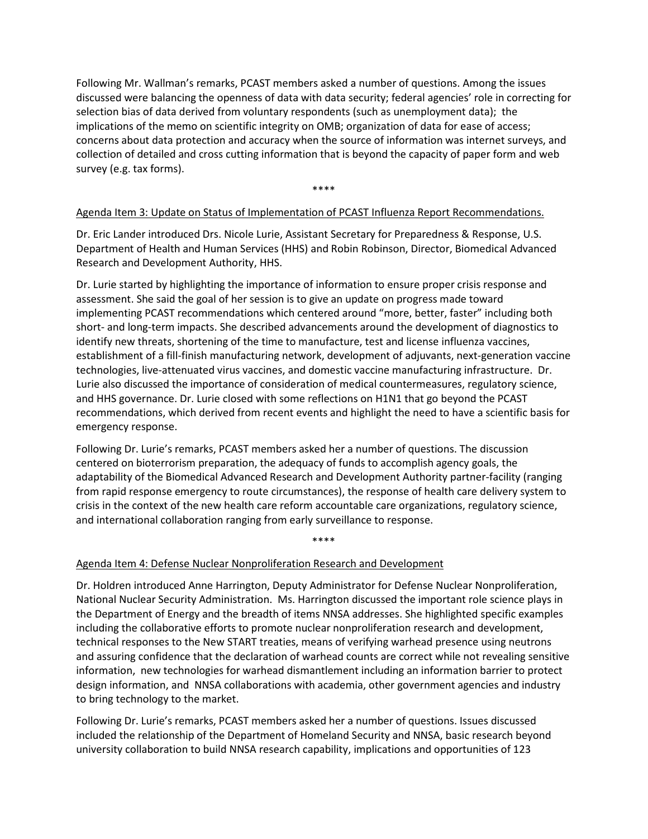Following Mr. Wallman's remarks, PCAST members asked a number of questions. Among the issues discussed were balancing the openness of data with data security; federal agencies' role in correcting for selection bias of data derived from voluntary respondents (such as unemployment data); the implications of the memo on scientific integrity on OMB; organization of data for ease of access; concerns about data protection and accuracy when the source of information was internet surveys, and collection of detailed and cross cutting information that is beyond the capacity of paper form and web survey (e.g. tax forms).

\*\*\*\*

## Agenda Item 3: Update on Status of Implementation of PCAST Influenza Report Recommendations.

Dr. Eric Lander introduced Drs. Nicole Lurie, Assistant Secretary for Preparedness & Response, U.S. Department of Health and Human Services (HHS) and Robin Robinson, Director, Biomedical Advanced Research and Development Authority, HHS.

Dr. Lurie started by highlighting the importance of information to ensure proper crisis response and assessment. She said the goal of her session is to give an update on progress made toward implementing PCAST recommendations which centered around "more, better, faster" including both short- and long-term impacts. She described advancements around the development of diagnostics to identify new threats, shortening of the time to manufacture, test and license influenza vaccines, establishment of a fill-finish manufacturing network, development of adjuvants, next-generation vaccine technologies, live-attenuated virus vaccines, and domestic vaccine manufacturing infrastructure. Dr. Lurie also discussed the importance of consideration of medical countermeasures, regulatory science, and HHS governance. Dr. Lurie closed with some reflections on H1N1 that go beyond the PCAST recommendations, which derived from recent events and highlight the need to have a scientific basis for emergency response.

Following Dr. Lurie's remarks, PCAST members asked her a number of questions. The discussion centered on bioterrorism preparation, the adequacy of funds to accomplish agency goals, the adaptability of the Biomedical Advanced Research and Development Authority partner-facility (ranging from rapid response emergency to route circumstances), the response of health care delivery system to crisis in the context of the new health care reform accountable care organizations, regulatory science, and international collaboration ranging from early surveillance to response.

\*\*\*\*

# Agenda Item 4: Defense Nuclear Nonproliferation Research and Development

Dr. Holdren introduced Anne Harrington, Deputy Administrator for Defense Nuclear Nonproliferation, National Nuclear Security Administration. Ms. Harrington discussed the important role science plays in the Department of Energy and the breadth of items NNSA addresses. She highlighted specific examples including the collaborative efforts to promote nuclear nonproliferation research and development, technical responses to the New START treaties, means of verifying warhead presence using neutrons and assuring confidence that the declaration of warhead counts are correct while not revealing sensitive information, new technologies for warhead dismantlement including an information barrier to protect design information, and NNSA collaborations with academia, other government agencies and industry to bring technology to the market.

Following Dr. Lurie's remarks, PCAST members asked her a number of questions. Issues discussed included the relationship of the Department of Homeland Security and NNSA, basic research beyond university collaboration to build NNSA research capability, implications and opportunities of 123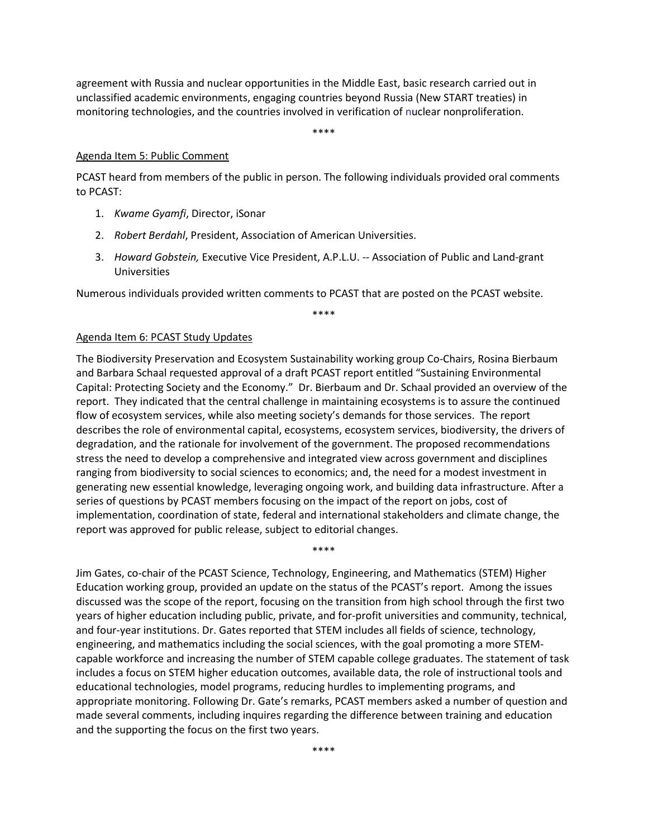agreement with Russia and nuclear opportunities in the Middle East, basic research carried out in unclassified academic environments, engaging countries beyond Russia (New START treaties) in monitoring technologies, and the countries involved in verification of nuclear nonproliferation.

\*\*\*\*

#### Agenda Item 5: Public Comment

PCAST heard from members of the public in person. The following individuals provided oral comments to PCAST:

- 1. *Kwame Gyamfi*, Director, iSonar
- 2. *Robert Berdahl*, President, Association of American Universities.
- 3. *Howard Gobstein,* Executive Vice President, A.P.L.U. -- Association of Public and Land-grant Universities

Numerous individuals provided written comments to PCAST that are posted on the PCAST website.

\*\*\*\*

#### Agenda Item 6: PCAST Study Updates

The Biodiversity Preservation and Ecosystem Sustainability working group Co-Chairs, Rosina Bierbaum and Barbara Schaal requested approval of a draft PCAST report entitled "Sustaining Environmental Capital: Protecting Society and the Economy." Dr. Bierbaum and Dr. Schaal provided an overview of the report. They indicated that the central challenge in maintaining ecosystems is to assure the continued flow of ecosystem services, while also meeting society's demands for those services. The report describes the role of environmental capital, ecosystems, ecosystem services, biodiversity, the drivers of degradation, and the rationale for involvement of the government. The proposed recommendations stress the need to develop a comprehensive and integrated view across government and disciplines ranging from biodiversity to social sciences to economics; and, the need for a modest investment in generating new essential knowledge, leveraging ongoing work, and building data infrastructure. After a series of questions by PCAST members focusing on the impact of the report on jobs, cost of implementation, coordination of state, federal and international stakeholders and climate change, the report was approved for public release, subject to editorial changes.

Jim Gates, co-chair of the PCAST Science, Technology, Engineering, and Mathematics (STEM) Higher Education working group, provided an update on the status of the PCAST's report. Among the issues discussed was the scope of the report, focusing on the transition from high school through the first two years of higher education including public, private, and for-profit universities and community, technical, and four-year institutions. Dr. Gates reported that STEM includes all fields of science, technology, engineering, and mathematics including the social sciences, with the goal promoting a more STEMcapable workforce and increasing the number of STEM capable college graduates. The statement of task includes a focus on STEM higher education outcomes, available data, the role of instructional tools and educational technologies, model programs, reducing hurdles to implementing programs, and appropriate monitoring. Following Dr. Gate's remarks, PCAST members asked a number of question and made several comments, including inquires regarding the difference between training and education and the supporting the focus on the first two years.

\*\*\*\*